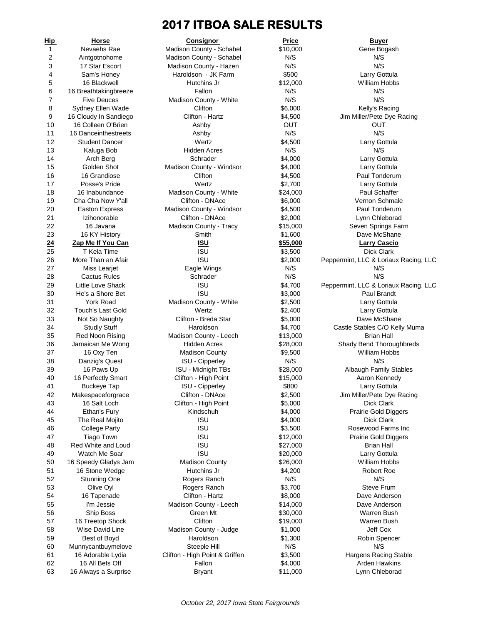# **2017 ITBOA SALE RESULTS**

| Hip            | <u>Horse</u>                             | <u>Consignor</u>               | <u>Price</u>       | <u>Buyer</u>                             |
|----------------|------------------------------------------|--------------------------------|--------------------|------------------------------------------|
| $\mathbf{1}$   | Nevaehs Rae                              | Madison County - Schabel       | \$10,000           | Gene Bogash                              |
| $\overline{2}$ | Aintgotnohome                            | Madison County - Schabel       | N/S                | N/S                                      |
| 3              | 17 Star Escort                           | Madison County - Hazen         | N/S                | N/S                                      |
| 4              | Sam's Honey                              | Haroldson - JK Farm            | \$500              | Larry Gottula                            |
| 5              | 16 Blackwell                             | Hutchins Jr                    | \$12,000           | William Hobbs                            |
| 6              | 16 Breathtakingbreeze                    | Fallon                         | N/S                | N/S                                      |
| 7              | <b>Five Deuces</b>                       | Madison County - White         | N/S                | N/S                                      |
| 8              | Sydney Ellen Wade                        | Clifton                        | \$6,000            | Kelly's Racing                           |
| 9              | 16 Cloudy In Sandiego                    | Clifton - Hartz                | \$4,500            | Jim Miller/Pete Dye                      |
| 10             | 16 Colleen O'Brien                       | Ashby                          | Ουτ                | ουτ                                      |
| 11             | 16 Danceinthestreets                     | Ashby                          | N/S                | N/S                                      |
| 12             | <b>Student Dancer</b>                    | Wertz                          | \$4,500            | Larry Gottula                            |
| 13             | Kaluga Bob                               | <b>Hidden Acres</b>            | N/S                | N/S                                      |
| 14             | Arch Berg                                | Schrader                       | \$4,000            | Larry Gottula                            |
| 15             | Golden Shot                              | Madison County - Windsor       | \$4,000            | Larry Gottula                            |
| 16             | 16 Grandiose                             | Clifton                        | \$4,500            | Paul Tonderur                            |
| 17             | Posse's Pride                            | Wertz                          | \$2,700            | Larry Gottula                            |
| 18             | 16 Inabundance                           | Madison County - White         | \$24,000           | <b>Paul Schaffer</b>                     |
| 19             | Cha Cha Now Y'all                        | Clifton - DNAce                | \$6,000            | Vernon Schma                             |
| 20             | <b>Easton Express</b>                    | Madison County - Windsor       | \$4,500            | Paul Tonderur                            |
| 21             | Izihonorable                             | Clifton - DNAce                | \$2,000            | Lynn Chlebora                            |
| 22             | 16 Javana                                | Madison County - Tracy         | \$15,000           | Seven Springs F                          |
| 23             | 16 KY History                            | Smith                          | \$1,600            | Dave McShan                              |
| 24             | Zap Me If You Can                        | <u>ISU</u>                     | \$55,000           | <b>Larry Cascio</b>                      |
| 25             | T Kela Time                              | <b>ISU</b>                     | \$3,500            | Dick Clark                               |
| 26             | More Than an Afair                       | <b>ISU</b>                     | \$2,000            | Peppermint, LLC & Loriaux                |
| 27             | Miss Learjet                             | Eagle Wings                    | N/S<br>N/S         | N/S<br>N/S                               |
| 28<br>29       | <b>Cactus Rules</b><br>Little Love Shack | Schrader<br><b>ISU</b>         |                    |                                          |
| 30             | He's a Shore Bet                         | <b>ISU</b>                     | \$4,700            | Peppermint, LLC & Loriaux<br>Paul Brandt |
| 31             | <b>York Road</b>                         | Madison County - White         | \$3,000<br>\$2,500 | Larry Gottula                            |
| 32             | <b>Touch's Last Gold</b>                 | Wertz                          | \$2,400            | Larry Gottula                            |
| 33             | Not So Naughty                           | Clifton - Breda Star           | \$5,000            | Dave McShan                              |
| 34             | <b>Studly Stuff</b>                      | Haroldson                      | \$4,700            | Castle Stables C/O Ke                    |
| 35             | Red Noon Rising                          | Madison County - Leech         | \$13,000           | Brian Hall                               |
| 36             | Jamaican Me Wong                         | <b>Hidden Acres</b>            | \$28,000           | Shady Bend Thoroug                       |
| 37             | 16 Oxy Ten                               | <b>Madison County</b>          | \$9,500            | William Hobbs                            |
| 38             | Danzig's Quest                           | ISU - Cipperley                | N/S                | N/S                                      |
| 39             | 16 Paws Up                               | <b>ISU - Midnight TBs</b>      | \$28,000           | Albaugh Family St                        |
| 40             | 16 Perfectly Smart                       | Clifton - High Point           | \$15,000           | Aaron Kenned                             |
| 41             | Buckeye Tap                              | ISU - Cipperley                | \$800              | Larry Gottula                            |
| 42             | Makespaceforgrace                        | Clifton - DNAce                | \$2,500            | Jim Miller/Pete Dye                      |
| 43             | 16 Salt Loch                             | Clifton - High Point           | \$5,000            | Dick Clark                               |
| 44             | Ethan's Fury                             | Kindschuh                      | \$4,000            | Prairie Gold Digg                        |
| 45             | The Real Mojito                          | <b>ISU</b>                     | \$4,000            | Dick Clark                               |
| 46             | <b>College Party</b>                     | <b>ISU</b>                     | \$3,500            | Rosewood Farms                           |
| 47             | Tiago Town                               | <b>ISU</b>                     | \$12,000           | Prairie Gold Digg                        |
| 48             | Red White and Loud                       | <b>ISU</b>                     | \$27,000           | Brian Hall                               |
| 49             | Watch Me Soar                            | <b>ISU</b>                     | \$20,000           | Larry Gottula                            |
| 50             | 16 Speedy Gladys Jam                     | <b>Madison County</b>          | \$26,000           | William Hobbs                            |
| 51             | 16 Stone Wedge                           | Hutchins Jr                    | \$4,200            | Robert Roe                               |
| 52             | Stunning One                             | Rogers Ranch                   | N/S                | N/S                                      |
| 53             | Olive Oyl                                | Rogers Ranch                   | \$3,700            | Steve Frum                               |
| 54             | 16 Tapenade                              | Clifton - Hartz                | \$8,000            | Dave Anderso                             |
| 55             | I'm Jessie                               | Madison County - Leech         | \$14,000           | Dave Anderso                             |
| 56             | Ship Boss                                | Green Mt                       | \$30,000           | Warren Bush                              |
| 57             | 16 Treetop Shock                         | Clifton                        | \$19,000           | Warren Bush                              |
| 58             | Wise David Line                          | Madison County - Judge         | \$1,000            | Jeff Cox                                 |
| 59             | Best of Boyd                             | Haroldson                      | \$1,300            | Robin Spence                             |
| 60             | Munnycantbuymelove                       | Steeple Hill                   | N/S                | N/S                                      |
| 61             | 16 Adorable Lydia                        | Clifton - High Point & Griffen | \$3,500            | Hargens Racing S                         |
| 62             | 16 All Bets Off                          | Fallon                         | \$4,000            | Arden Hawkin                             |
| 63             | 16 Always a Surprise                     | <b>Bryant</b>                  | \$11,000           | Lynn Chlebora                            |
|                |                                          |                                |                    |                                          |

Madison County - Schabel  $$10,000$  Gene Bogash Madison County - Schabel N/S N/S N/S N/S Madison County - Hazen N/S N/S N/S N/S Haroldson - JK Farm  $$500$  Larry Gottula Hutchins Jr  $$12,000$  William Hobbs Madison County - White N/S N/S N/S Madison County - Windsor  $$4,000$  Larry Gottula Madison County - White  $$24,000$  Paul Schaffer 19 Clifton - DNAce  $$6,000$  Vernon Schmale Madison County - Windsor  $$4,500$  Paul Tonderum Clifton - DNAce  $$2,000$  Lynn Chleborad Madison County - Tracy **\$15,000** Seven Springs Farm Eagle Wings N/S N/S N/S N/S Madison County - White  $$2,500$  Larry Gottula Clifton - Breda Star  $$5,000$  Dave McShane Madison County - Leech \$13,000 Brian Hall Madison County **\$9,500** William Hobbs **ISU - Cipperley N/S N/S N/S** Clifton - High Point \$15,000 1SU - Cipperley **\$800** Larry Gottula Clifton - High Point  $$5,000$  Dick Clark Madison County **\$26,000** William Hobbs 52 Stunning One Rogers Ranch N/S N/S Rogers Ranch  $$3,700$  Steve Frum Clifton - Hartz **\$8,000** Dave Anderson Madison County - Leech \$14,000 Dave Anderson Madison County - Judge  $$1,000$  Jeff Cox Clifton - High Point & Griffen  $$3,500$  Hargens Racing Stable

Clifton \$6,000 Kelly's Racing Clifton - Hartz **\$4,500** Jim Miller/Pete Dye Racing 16 16 Grandiose Clifton \$4,500 Paul Tonderum 23 Smith \$1,600 Dave McShane **24 Zap Me If You Can ISU \$55,000 Larry Cascio** 1SU \$2,000 Peppermint, LLC & Loriaux Racing, LLC 1SU \$4,700 Peppermint, LLC & Loriaux Racing, LLC 34 Studly Stuff Haroldson \$4,700 Castle Stables C/O Kelly Muma Hidden Acres  $$28,000$  Shady Bend Thoroughbreds 1939 - Midnight TBs \$28,000 Albaugh Family Stables<br>15,000 Clifton - High Point \$15,000 Aaron Kennedy Clifton - DNAce  $$2,500$  Jim Miller/Pete Dye Racing Kindschuh  $$4,000$  Prairie Gold Diggers 1SU \$3,500 Rosewood Farms Inc 1SU \$12,000 Prairie Gold Diggers 1SU \$20,000 Larry Gottula Haroldson \$1,300 Robin Spencer Fallon \$4,000 **Arden Hawkins** Bryant **\$11,000** Lynn Chleborad